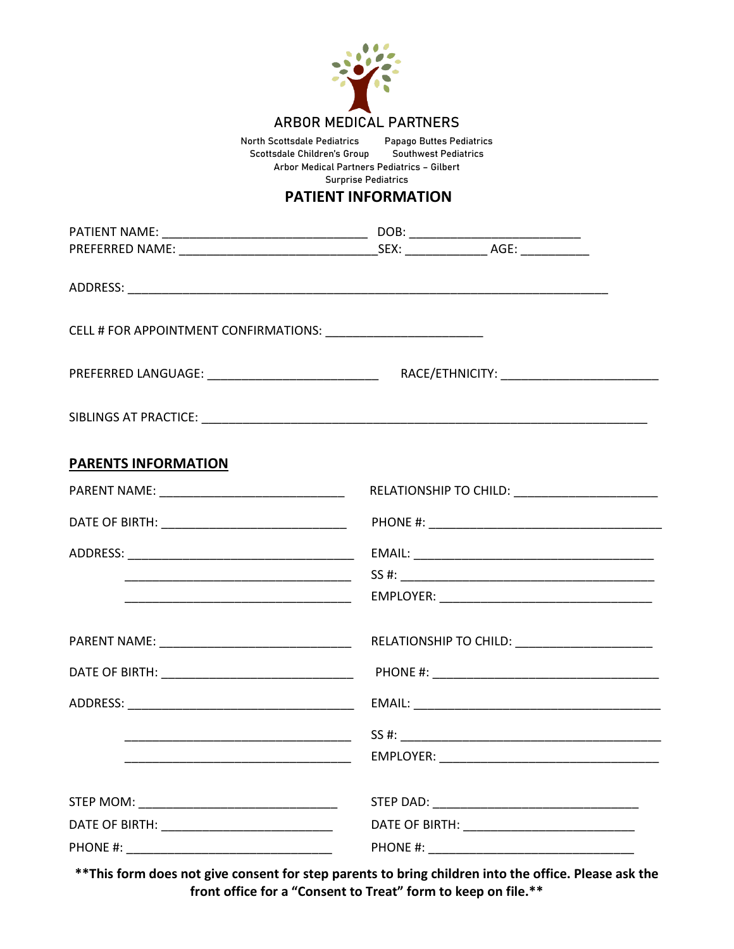

North Scottsdale Pediatrics Papago Buttes Pediatrics Scottsdale Children's Group Arbor Medical Partners Pediatrics – Gilbert Surprise Pediatrics

## **PATIENT INFORMATION**

| <b>PARENTS INFORMATION</b>                        |                                              |  |
|---------------------------------------------------|----------------------------------------------|--|
| PARENT NAME: __________________________________   |                                              |  |
| DATE OF BIRTH: __________________________________ |                                              |  |
|                                                   |                                              |  |
|                                                   | SS #:                                        |  |
|                                                   |                                              |  |
|                                                   | RELATIONSHIP TO CHILD: _____________________ |  |
|                                                   |                                              |  |
|                                                   |                                              |  |
|                                                   | SS #:                                        |  |
|                                                   | EMPLOYER:                                    |  |
|                                                   |                                              |  |
|                                                   |                                              |  |
|                                                   |                                              |  |

**\*\*This form does not give consent for step parents to bring children into the office. Please ask the front office for a "Consent to Treat" form to keep on file.\*\***